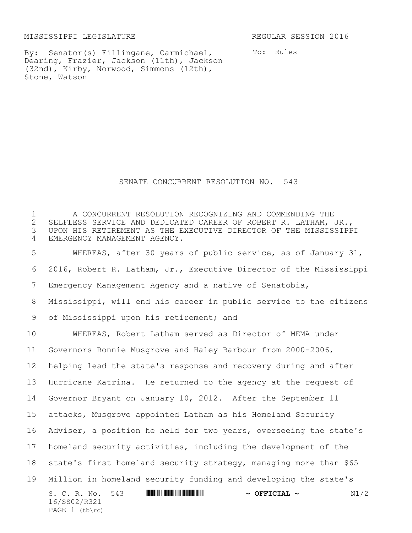MISSISSIPPI LEGISLATURE REGULAR SESSION 2016

PAGE (tb\rc)

By: Senator(s) Fillingane, Carmichael, Dearing, Frazier, Jackson (11th), Jackson (32nd), Kirby, Norwood, Simmons (12th), Stone, Watson

To: Rules

SENATE CONCURRENT RESOLUTION NO. 543

S. C. R. No. 543 \*SS02/R321\* **~ OFFICIAL ~** N1/2 16/SS02/R321 A CONCURRENT RESOLUTION RECOGNIZING AND COMMENDING THE 2 SELFLESS SERVICE AND DEDICATED CAREER OF ROBERT R. LATHAM, JR.,<br>3 UPON HIS RETIREMENT AS THE EXECUTIVE DIRECTOR OF THE MISSISSIPP UPON HIS RETIREMENT AS THE EXECUTIVE DIRECTOR OF THE MISSISSIPPI EMERGENCY MANAGEMENT AGENCY. WHEREAS, after 30 years of public service, as of January 31, 2016, Robert R. Latham, Jr., Executive Director of the Mississippi Emergency Management Agency and a native of Senatobia, Mississippi, will end his career in public service to the citizens of Mississippi upon his retirement; and WHEREAS, Robert Latham served as Director of MEMA under Governors Ronnie Musgrove and Haley Barbour from 2000-2006, helping lead the state's response and recovery during and after Hurricane Katrina. He returned to the agency at the request of Governor Bryant on January 10, 2012. After the September 11 attacks, Musgrove appointed Latham as his Homeland Security Adviser, a position he held for two years, overseeing the state's homeland security activities, including the development of the state's first homeland security strategy, managing more than \$65 Million in homeland security funding and developing the state's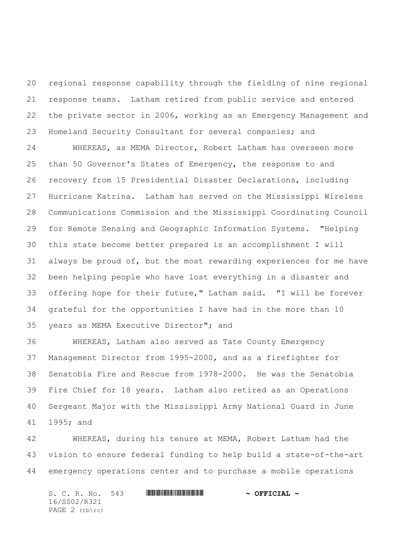regional response capability through the fielding of nine regional response teams. Latham retired from public service and entered the private sector in 2006, working as an Emergency Management and Homeland Security Consultant for several companies; and

 WHEREAS, as MEMA Director, Robert Latham has overseen more than 50 Governor's States of Emergency, the response to and recovery from 15 Presidential Disaster Declarations, including Hurricane Katrina. Latham has served on the Mississippi Wireless Communications Commission and the Mississippi Coordinating Council for Remote Sensing and Geographic Information Systems. "Helping this state become better prepared is an accomplishment I will always be proud of, but the most rewarding experiences for me have been helping people who have lost everything in a disaster and offering hope for their future," Latham said. "I will be forever grateful for the opportunities I have had in the more than 10 years as MEMA Executive Director"; and

 WHEREAS, Latham also served as Tate County Emergency Management Director from 1995-2000, and as a firefighter for Senatobia Fire and Rescue from 1978-2000. He was the Senatobia Fire Chief for 18 years. Latham also retired as an Operations Sergeant Major with the Mississippi Army National Guard in June 1995; and

 WHEREAS, during his tenure at MEMA, Robert Latham had the vision to ensure federal funding to help build a state-of-the-art emergency operations center and to purchase a mobile operations

S. C. R. No. 543 **WILL AND ALLEST AND A OFFICIAL ~** 16/SS02/R321 PAGE 2 (tb\rc)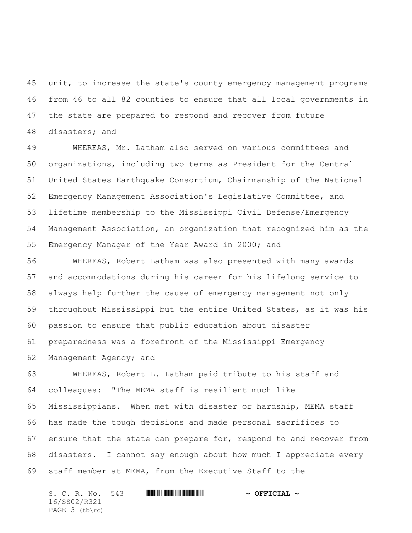unit, to increase the state's county emergency management programs from 46 to all 82 counties to ensure that all local governments in the state are prepared to respond and recover from future disasters; and

 WHEREAS, Mr. Latham also served on various committees and organizations, including two terms as President for the Central United States Earthquake Consortium, Chairmanship of the National Emergency Management Association's Legislative Committee, and lifetime membership to the Mississippi Civil Defense/Emergency Management Association, an organization that recognized him as the Emergency Manager of the Year Award in 2000; and

 WHEREAS, Robert Latham was also presented with many awards and accommodations during his career for his lifelong service to always help further the cause of emergency management not only throughout Mississippi but the entire United States, as it was his passion to ensure that public education about disaster preparedness was a forefront of the Mississippi Emergency Management Agency; and

 WHEREAS, Robert L. Latham paid tribute to his staff and colleagues: "The MEMA staff is resilient much like Mississippians. When met with disaster or hardship, MEMA staff has made the tough decisions and made personal sacrifices to ensure that the state can prepare for, respond to and recover from disasters. I cannot say enough about how much I appreciate every staff member at MEMA, from the Executive Staff to the

S. C. R. No. 543 **WILL AND ALLEST AND A OFFICIAL ~** 16/SS02/R321 PAGE 3 (tb\rc)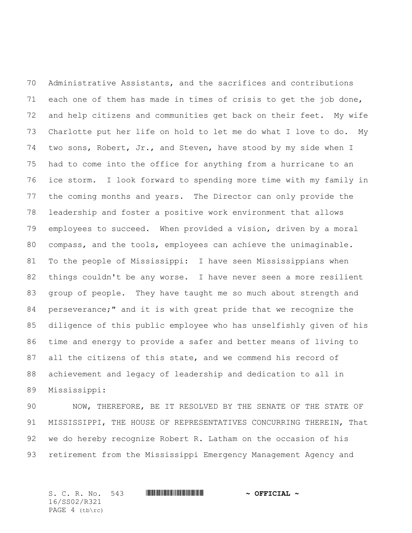Administrative Assistants, and the sacrifices and contributions each one of them has made in times of crisis to get the job done, and help citizens and communities get back on their feet. My wife Charlotte put her life on hold to let me do what I love to do. My two sons, Robert, Jr., and Steven, have stood by my side when I had to come into the office for anything from a hurricane to an ice storm. I look forward to spending more time with my family in the coming months and years. The Director can only provide the leadership and foster a positive work environment that allows employees to succeed. When provided a vision, driven by a moral compass, and the tools, employees can achieve the unimaginable. To the people of Mississippi: I have seen Mississippians when things couldn't be any worse. I have never seen a more resilient group of people. They have taught me so much about strength and perseverance;" and it is with great pride that we recognize the diligence of this public employee who has unselfishly given of his time and energy to provide a safer and better means of living to all the citizens of this state, and we commend his record of achievement and legacy of leadership and dedication to all in Mississippi:

 NOW, THEREFORE, BE IT RESOLVED BY THE SENATE OF THE STATE OF 91 MISSISSIPPI, THE HOUSE OF REPRESENTATIVES CONCURRING THEREIN, That we do hereby recognize Robert R. Latham on the occasion of his retirement from the Mississippi Emergency Management Agency and

S. C. R. No. 543 \*SS02/R321\* **~ OFFICIAL ~** 16/SS02/R321 PAGE 4 (tb\rc)